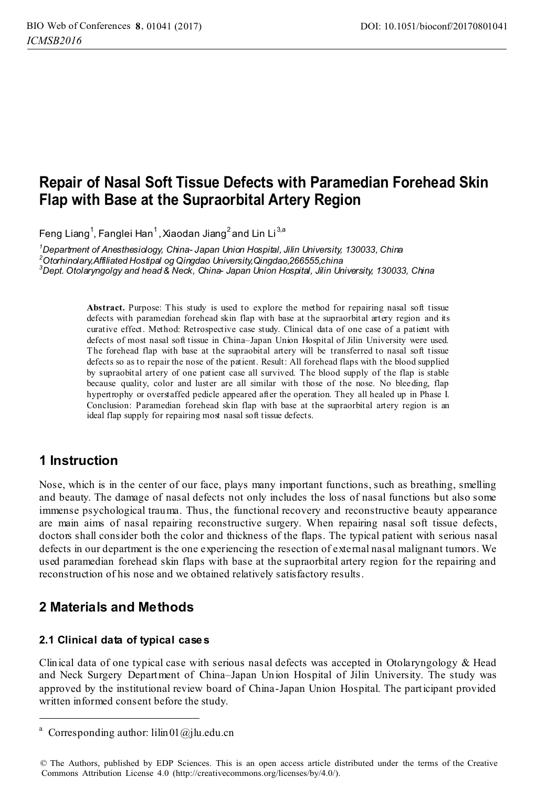# **Repair of Nasal Soft Tissue Defects with Paramedian Forehead Skin Flap with Base at the Supraorbital Artery Region**

Feng Liang<sup>1</sup>, Fanglei Han<sup>1</sup>, Xiaodan Jiang<sup>2</sup> and Lin Li<sup>3,a</sup>

*1 Department of Anesthesiology, China- Japan Union Hospital, Jilin University, 130033, China 2 Otorhinolary,Affiliated Hostipal og Qingdao University,Qingdao,266555,china 3 Dept. Otolaryngolgy and head & Neck, China- Japan Union Hospital, Jilin University, 130033, China* 

> **Abstract.** Purpose: This study is used to explore the method for repairing nasal soft tissue defects with paramedian forehead skin flap with base at the supraorbital artery region and its curative effect. Method: Retrospective case study. Clinical data of one case of a patient with defects of most nasal soft tissue in China–Japan Union Hospital of Jilin University were used. The forehead flap with base at the supraobital artery will be transferred to nasal soft tissue defects so as to repair the nose of the patient. Result: All forehead flaps with the blood supplied by supraobital artery of one patient case all survived. The blood supply of the flap is stable because quality, color and luster are all similar with those of the nose. No bleeding, flap hypertrophy or overstaffed pedicle appeared after the operation. They all healed up in Phase I. Conclusion: Paramedian forehead skin flap with base at the supraorbital artery region is an ideal flap supply for repairing most nasal soft tissue defects.

## **1 Instruction**

-

Nose, which is in the center of our face, plays many important functions, such as breathing, smelling and beauty. The damage of nasal defects not only includes the loss of nasal functions but also some immense psychological trauma. Thus, the functional recovery and reconstructive beauty appearance are main aims of nasal repairing reconstructive surgery. When repairing nasal soft tissue defects, doctors shall consider both the color and thickness of the flaps. The typical patient with serious nasal defects in our department is the one experiencing the resection of external nasal malignant tumors. We used paramedian forehead skin flaps with base at the supraorbital artery region for the repairing and reconstruction of his nose and we obtained relatively satisfactory results.

## **2 Materials and Methods**

## **2.1 Clinical data of typical cases**

Clinical data of one typical case with serious nasal defects was accepted in Otolaryngology & Head and Neck Surgery Department of China–Japan Union Hospital of Jilin University. The study was approved by the institutional review board of China-Japan Union Hospital. The participant provided written informed consent before the study.

<sup>&</sup>lt;sup>a</sup> Corresponding author: lilin01@jlu.edu.cn

<sup>©</sup> The Authors, published by EDP Sciences. This is an open access article distributed under the terms of the Creative Commons Attribution License 4.0 (http://creativecommons.org/licenses/by/4.0/).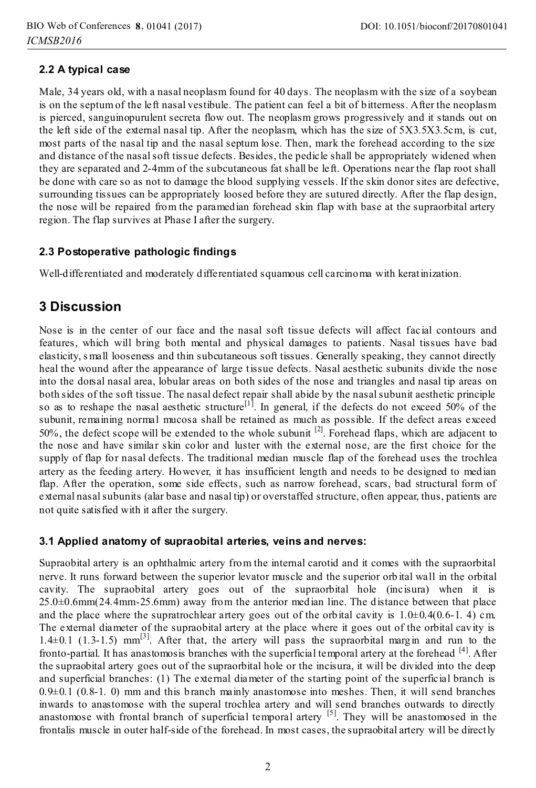## **2.2 A typical case**

Male, 34 years old, with a nasal neoplasm found for 40 days. The neoplasm with the size of a soybean is on the septum of the left nasal vestibule. The patient can feel a bit of bitterness. After the neoplasm is pierced, sanguinopurulent secreta flow out. The neoplasm grows progressively and it stands out on the left side of the external nasal tip. After the neoplasm, which has the size of 5X3.5X3.5cm, is cut, most parts of the nasal tip and the nasal septum lose. Then, mark the forehead according to the size and distance of the nasal soft tissue defects. Besides, the pedicle shall be appropriately widened when they are separated and 2-4mm of the subcutaneous fat shall be left. Operations near the flap root shall be done with care so as not to damage the blood supplying vessels. If the skin donor sites are defective, surrounding tissues can be appropriately loosed before they are sutured directly. After the flap design, the nose will be repaired from the paramedian forehead skin flap with base at the supraorbital artery region. The flap survives at Phase I after the surgery.

## **2.3 Postoperative pathologic findings**

Well-differentiated and moderately differentiated squamous cell carcinoma with keratinization.

## **3 Discussion**

Nose is in the center of our face and the nasal soft tissue defects will affect facial contours and features, which will bring both mental and physical damages to patients. Nasal tissues have bad elasticity, s mall looseness and thin subcutaneous soft tissues. Generally speaking, they cannot directly heal the wound after the appearance of large tissue defects. Nasal aesthetic subunits divide the nose into the dorsal nasal area, lobular areas on both sides of the nose and triangles and nasal tip areas on both sides of the soft tissue. The nasal defect repair shall abide by the nasal subunit aesthetic principle so as to reshape the nasal aesthetic structure<sup>[1]</sup>. In general, if the defects do not exceed 50% of the subunit, remaining normal mucosa shall be retained as much as possible. If the defect areas exceed 50%, the defect scope will be extended to the whole subunit  $^{[2]}$ . Forehead flaps, which are adjacent to the nose and have similar skin color and luster with the external nose, are the first choice for the supply of flap for nasal defects. The traditional median muscle flap of the forehead uses the trochlea artery as the feeding artery. However, it has insufficient length and needs to be designed to median flap. After the operation, some side effects, such as narrow forehead, scars, bad structural form of external nasal subunits (alar base and nasal tip) or overstaffed structure, often appear, thus, patients are not quite satisfied with it after the surgery.

#### **3.1 Applied anatomy of supraobital arteries, veins and nerves:**

Supraobital artery is an ophthalmic artery from the internal carotid and it comes with the supraorbital nerve. It runs forward between the superior levator muscle and the superior orb ital wall in the orbital cavity. The supraobital artery goes out of the supraorbital hole (incisura) when it is 25.0±0.6mm(24.4mm-25.6mm) away from the anterior median line. The distance between that place and the place where the supratrochlear artery goes out of the orbital cavity is  $1.0\pm0.4(0.6-1.4)$  cm. The external diameter of the supraobital artery at the place where it goes out of the orbital cavity is 1.4 $\pm$ 0.1 (1.3-1.5) mm<sup>[3]</sup>. After that, the artery will pass the supraorbital margin and run to the fronto-partial. It has anastomosis branches with the superficial temporal artery at the forehead [4]. After the supraobital artery goes out of the supraorbital hole or the incisura, it will be divided into the deep and superficial branches: (1) The external diameter of the starting point of the superficial branch is  $0.9\pm0.1$  (0.8-1. 0) mm and this branch mainly anastomose into meshes. Then, it will send branches inwards to anastomose with the superal trochlea artery and will send branches outwards to directly anastomose with frontal branch of superficial temporal artery <sup>[5]</sup>. They will be anastomosed in the frontalis muscle in outer half-side of the forehead. In most cases, the supraobital artery will be directly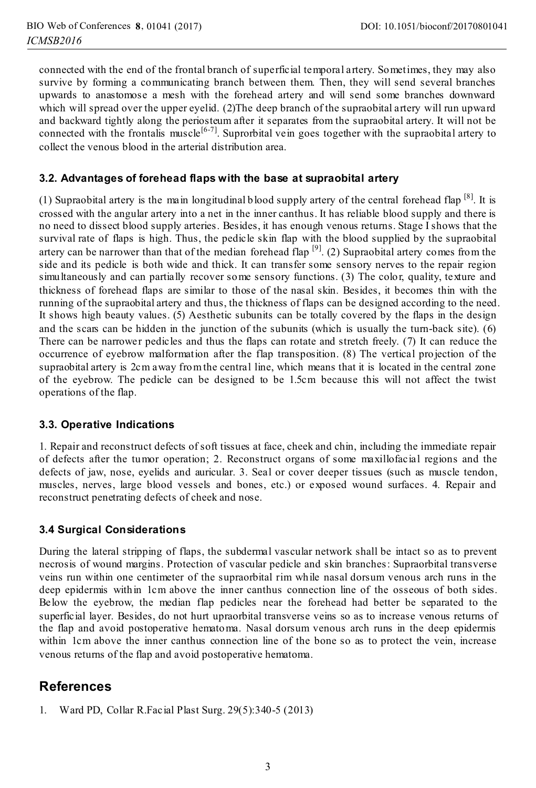connected with the end of the frontal branch of superficial temporal artery. Sometimes, they may also survive by forming a communicating branch between them. Then, they will send several branches upwards to anastomose a mesh with the forehead artery and will send some branches downward which will spread over the upper eyelid. (2)The deep branch of the supraobital artery will run upward and backward tightly along the periosteum after it separates from the supraobital artery. It will not be connected with the frontalis muscle<sup>[6-7]</sup>. Suprorbital vein goes together with the supraobital artery to collect the venous blood in the arterial distribution area.

### **3.2. Advantages of forehead flaps with the base at supraobital artery**

(1) Supraobital artery is the main longitudinal blood supply artery of the central forehead flap  $[8]$ . It is crossed with the angular artery into a net in the inner canthus. It has reliable blood supply and there is no need to dissect blood supply arteries. Besides, it has enough venous returns. Stage I shows that the survival rate of flaps is high. Thus, the pedicle skin flap with the blood supplied by the supraobital artery can be narrower than that of the median forehead flap  $^{[9]}$ . (2) Supraobital artery comes from the side and its pedicle is both wide and thick. It can transfer some sensory nerves to the repair region simultaneously and can partially recover some sensory functions. (3) The color, quality, texture and thickness of forehead flaps are similar to those of the nasal skin. Besides, it becomes thin with the running of the supraobital artery and thus, the thickness of flaps can be designed according to the need. It shows high beauty values. (5) Aesthetic subunits can be totally covered by the flaps in the design and the scars can be hidden in the junction of the subunits (which is usually the turn-back site). (6) There can be narrower pedicles and thus the flaps can rotate and stretch freely. (7) It can reduce the occurrence of eyebrow malformation after the flap transposition. (8) The vertical projection of the supraobital artery is 2cm away from the central line, which means that it is located in the central zone of the eyebrow. The pedicle can be designed to be 1.5cm because this will not affect the twist operations of the flap.

#### **3.3. Operative Indications**

1. Repair and reconstruct defects of soft tissues at face, cheek and chin, including the immediate repair of defects after the tumor operation; 2. Reconstruct organs of some maxillofacial regions and the defects of jaw, nose, eyelids and auricular. 3. Seal or cover deeper tissues (such as muscle tendon, muscles, nerves, large blood vessels and bones, etc.) or exposed wound surfaces. 4. Repair and reconstruct penetrating defects of cheek and nose.

#### **3.4 Surgical Considerations**

During the lateral stripping of flaps, the subdermal vascular network shall be intact so as to prevent necrosis of wound margins. Protection of vascular pedicle and skin branches: Supraorbital transverse veins run within one centimeter of the supraorbital rim while nasal dorsum venous arch runs in the deep epidermis within 1cm above the inner canthus connection line of the osseous of both sides. Below the eyebrow, the median flap pedicles near the forehead had better be separated to the superficial layer. Besides, do not hurt upraorbital transverse veins so as to increase venous returns of the flap and avoid postoperative hematoma. Nasal dorsum venous arch runs in the deep epidermis within 1cm above the inner canthus connection line of the bone so as to protect the vein, increase venous returns of the flap and avoid postoperative hematoma.

## **References**

1. Ward PD, Collar R.Facial Plast Surg. 29(5):340-5 (2013)